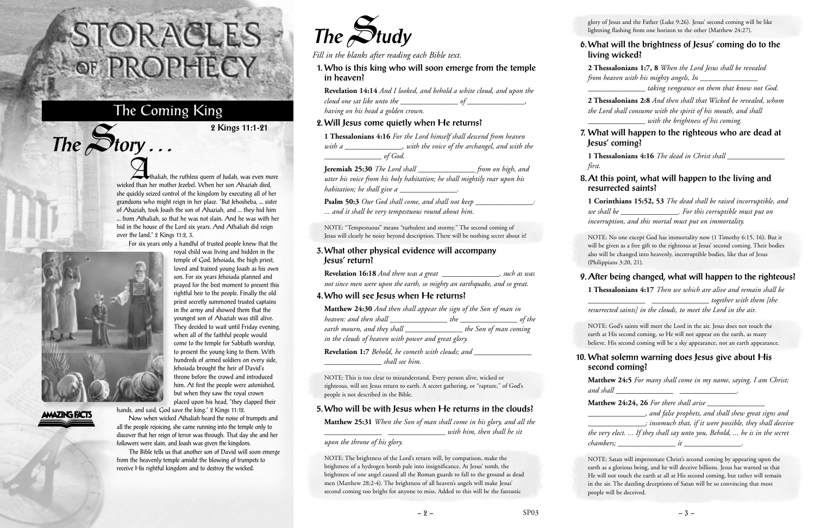Athaliah, the ruthless queen of Judah, was even more wicked than her mother Jezebel. When her son Ahaziah died. she quickly seized control of the kingdom by executing all of her grandsons who might reign in her place. "But Jehosheba, ... sister of Ahaziah, took Joash the son of Ahaziah, and ... they hid him ... from Athaliah, so that he was not slain. And he was with her hid in the house of the Lord six years. And Athaliah did reign over the land." 2 Kings 11:2, 3.

For six years only a handful of trusted people knew that the



**AMAZING FACTS** 

 $The$  $S$ **tory** ...

royal child was living and hidden in the temple of God. Jehoiada, the high priest, loved and trained young Joash as his own son. For six years Jehoiada planned and prayed for the best moment to present this rightful heir to the people. Finally the old priest secretly summoned trusted captains in the army and showed them that the youngest son of Ahaziah was still alive. They decided to wait until Friday evening, when all of the faithful people would come to the temple for Sabbath worship, to present the young king to them. With hundreds of armed soldiers on every side, Jehoiada brought the heir of David's throne before the crowd and introduced him. At first the people were astonished, but when they saw the royal crown placed upon his head, "they clapped their

hands, and said, God save the king." 2 Kings 11:12.

Now when wicked Athaliah heard the noise of trumpets and all the people rejoicing, she came running into the temple only to discover that her reign of terror was through. That day she and her followers were slain, and Joash was given the kingdom.

**Matthew 24:30** *And then shall appear the sign of the Son of man in heaven: and then shall \_\_\_\_\_\_\_\_\_\_\_\_\_\_\_ the \_\_\_\_\_\_\_\_\_\_\_\_\_\_\_ of the* earth mourn, and they shall **the Son of man coming** *in the clouds of heaven with power and great glory.* **Revelation 1:7** *Behold, he cometh with clouds; and* 

The Bible tells us that another son of David will soon emerge from the heavenly temple amidst the blowing of trumpets to receive His rightful kingdom and to destroy the wicked.

## STORACLES-OF PROPHECY

### The Coming King

**2 Kings 11:1-21**



*Fill in the blanks after reading each Bible text.*

**1. Who is this king who will soon emerge from the temple in heaven?**

| <b>Revelation 14:14</b> And I looked, and behold a white cloud, and upon the |  |
|------------------------------------------------------------------------------|--|
| cloud one sat like unto the                                                  |  |
| having on his head a golden crown.                                           |  |

#### **2. Will Jesus come quietly when He returns?**

| 1 Thessalonians 4:16 For the Lord himself shall descend from heaven<br>with a ________________, with the voice of the archangel, and with the                                                                                               |  |
|---------------------------------------------------------------------------------------------------------------------------------------------------------------------------------------------------------------------------------------------|--|
| $\frac{1}{\sqrt{1-\frac{1}{n}}}\int_{0}^{1}God.$<br>Jeremiah 25:30 The Lord shall ____________________ from on high, and<br>utter his voice from his holy habitation; he shall mightily roar upon his<br>habitation; he shall give a $\_\_$ |  |
| <b>Psalm 50:3</b> Our God shall come, and shall not keep __________________:<br>and it shall be very tempestuous round about him.                                                                                                           |  |
| NOTE: "Tempestuous" means "turbulent and stormy." The second coming of<br>Jesus will clearly be noisy beyond description. There will be nothing secret about it!                                                                            |  |
| 3. What other physical evidence will accompany<br>Jesus' return?                                                                                                                                                                            |  |
| Revelation 16:18 And there was a great _____________________, such as was<br>not since men were upon the earth, so mighty an earthquake, and so great.<br>4. Who will see Jesus when He returns?                                            |  |
| <b>Matthew 24:30</b> And then shall appear the sign of the Son of man in                                                                                                                                                                    |  |

**Matthew 24:24, 26** *For there shall arise \_\_\_\_\_\_\_\_\_\_\_\_\_\_\_ \_\_\_\_\_\_\_\_\_\_\_\_\_\_\_, and false prophets, and shall shew great signs and \_\_\_\_\_\_\_\_\_\_\_\_\_\_\_; insomuch that, if it were possible, they shall deceive the very elect. ... If they shall say unto you, Behold, ... he is in the secret chambers*;  $it$   $it$   $\qquad$ .

*\_\_\_\_\_\_\_\_\_\_\_\_\_\_\_ shall see him.*

NOTE: This is too clear to misunderstand. Every person alive, wicked or righteous, will see Jesus return to earth. A secret gathering, or "rapture," of God's people is not described in the Bible.

#### **5. Who will be with Jesus when He returns in the clouds?**

**Matthew 25:31** *When the Son of man shall come in his glory, and all the*

*\_\_\_\_\_\_\_\_\_\_\_\_\_\_\_ \_\_\_\_\_\_\_\_\_\_\_\_\_\_\_ with him, then shall he sit*

*upon the throne of his glory.*

NOTE: The brightness of the Lord's return will, by comparison, make the brightness of a hydrogen bomb pale into insignificance. At Jesus' tomb, the brightness of one angel caused all the Roman guards to fall to the ground as dead men (Matthew 28:2-4). The brightness of all heaven's angels will make Jesus' second coming too bright for anyone to miss. Added to this will be the fantastic

glory of Jesus and the Father (Luke 9:26). Jesus' second coming will be like lightning flashing from one horizon to the other (Matthew 24:27).

#### **6. What will the brightness of Jesus' coming do to the living wicked?**

**2 Thessalonians 1:7, 8** *When the Lord Jesus shall be revealed from heaven with his mighty angels, In \_\_\_\_\_\_\_\_\_\_\_\_\_\_\_*

*\_\_\_\_\_\_\_\_\_\_\_\_\_\_\_ taking vengeance on them that know not God.*

**2 Thessalonians 2:8** *And then shall that Wicked be revealed, whom the Lord shall consume with the spirit of his mouth, and shall \_\_\_\_\_\_\_\_\_\_\_\_\_\_\_ with the brightness of his coming.*

#### **7. What will happen to the righteous who are dead at Jesus' coming?**

**1 Thessalonians 4:16** *The dead in Christ shall \_\_\_\_\_\_\_\_\_\_\_\_\_\_\_*

*first.*

#### **8. At this point, what will happen to the living and resurrected saints?**

**1 Corinthians 15:52, 53** *The dead shall be raised incorruptible, and we shall be \_\_\_\_\_\_\_\_\_\_\_\_\_\_\_. For this corruptible must put on incorruption, and this mortal must put on immortality.*

NOTE: No one except God has immortality now (1 Timothy 6:15, 16). But it will be given as a free gift to the righteous at Jesus' second coming. Their bodies also will be changed into heavenly, incorruptible bodies, like that of Jesus (Philippians 3:20, 21).

#### **9. After being changed, what will happen to the righteous?**

**1 Thessalonians 4:17** *Then we which are alive and remain shall be \_\_\_\_\_\_\_\_\_\_\_\_\_\_\_ \_\_\_\_\_\_\_\_\_\_\_\_\_\_\_ together with them [the resurrected saints] in the clouds, to meet the Lord in the air.*

NOTE: God's saints will meet the Lord in the air. Jesus does not touch the earth at His second coming, so He will not appear on the earth, as many believe. His second coming will be a sky appearance, not an earth appearance.

#### **10. What solemn warning does Jesus give about His second coming?**

**Matthew 24:5** *For many shall come in my name, saying, I am Christ; and shall \_\_\_\_\_\_\_\_\_\_\_\_\_\_\_ \_\_\_\_\_\_\_\_\_\_\_\_\_\_\_.*

NOTE: Satan will impersonate Christ's second coming by appearing upon the earth as a glorious being, and he will deceive billions. Jesus has warned us that He will not touch the earth at all at His second coming, but rather will remain in the air. The dazzling deceptions of Satan will be so convincing that most people will be deceived.